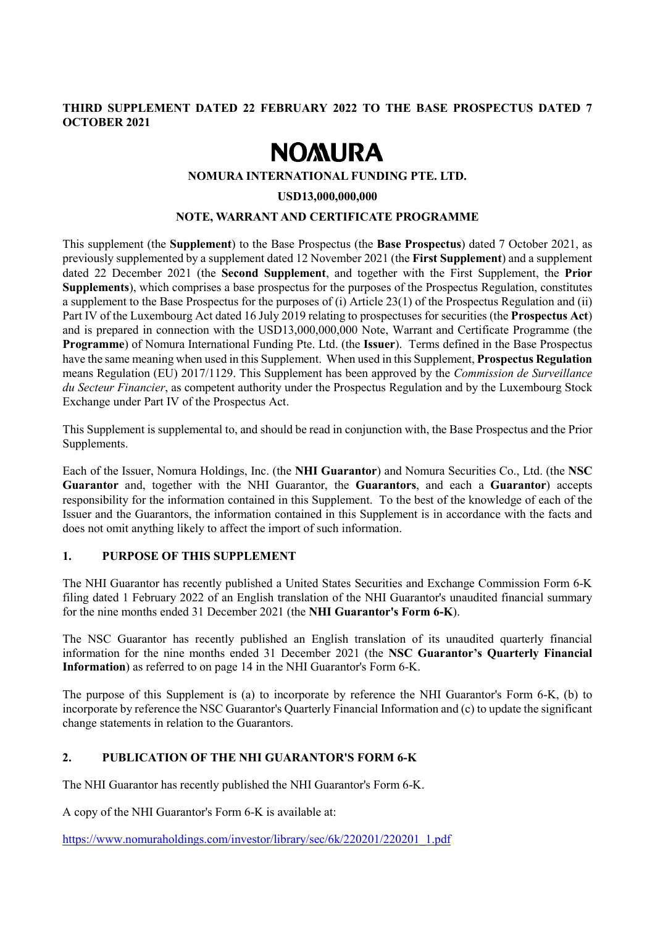## **THIRD SUPPLEMENT DATED 22 FEBRUARY 2022 TO THE BASE PROSPECTUS DATED 7 OCTOBER 2021**

# **NOMURA**

### **NOMURA INTERNATIONAL FUNDING PTE. LTD.**

#### **USD13,000,000,000**

#### **NOTE, WARRANT AND CERTIFICATE PROGRAMME**

This supplement (the **Supplement**) to the Base Prospectus (the **Base Prospectus**) dated 7 October 2021, as previously supplemented by a supplement dated 12 November 2021 (the **First Supplement**) and a supplement dated 22 December 2021 (the **Second Supplement**, and together with the First Supplement, the **Prior Supplements**), which comprises a base prospectus for the purposes of the Prospectus Regulation, constitutes a supplement to the Base Prospectus for the purposes of (i) Article 23(1) of the Prospectus Regulation and (ii) Part IV of the Luxembourg Act dated 16 July 2019 relating to prospectuses for securities (the **Prospectus Act**) and is prepared in connection with the USD13,000,000,000 Note, Warrant and Certificate Programme (the **Programme**) of Nomura International Funding Pte. Ltd. (the **Issuer**). Terms defined in the Base Prospectus have the same meaning when used in this Supplement. When used in this Supplement, **Prospectus Regulation** means Regulation (EU) 2017/1129. This Supplement has been approved by the *Commission de Surveillance du Secteur Financier*, as competent authority under the Prospectus Regulation and by the Luxembourg Stock Exchange under Part IV of the Prospectus Act.

This Supplement is supplemental to, and should be read in conjunction with, the Base Prospectus and the Prior Supplements.

Each of the Issuer, Nomura Holdings, Inc. (the **NHI Guarantor**) and Nomura Securities Co., Ltd. (the **NSC Guarantor** and, together with the NHI Guarantor, the **Guarantors**, and each a **Guarantor**) accepts responsibility for the information contained in this Supplement. To the best of the knowledge of each of the Issuer and the Guarantors, the information contained in this Supplement is in accordance with the facts and does not omit anything likely to affect the import of such information.

#### **1. PURPOSE OF THIS SUPPLEMENT**

The NHI Guarantor has recently published a United States Securities and Exchange Commission Form 6-K filing dated 1 February 2022 of an English translation of the NHI Guarantor's unaudited financial summary for the nine months ended 31 December 2021 (the **NHI Guarantor's Form 6-K**).

The NSC Guarantor has recently published an English translation of its unaudited quarterly financial information for the nine months ended 31 December 2021 (the **NSC Guarantor's Quarterly Financial Information**) as referred to on page 14 in the NHI Guarantor's Form 6-K.

The purpose of this Supplement is (a) to incorporate by reference the NHI Guarantor's Form 6-K, (b) to incorporate by reference the NSC Guarantor's Quarterly Financial Information and (c) to update the significant change statements in relation to the Guarantors.

## **2. PUBLICATION OF THE NHI GUARANTOR'S FORM 6-K**

The NHI Guarantor has recently published the NHI Guarantor's Form 6-K.

A copy of the NHI Guarantor's Form 6-K is available at:

[https://www.nomuraholdings.com/investor/library/sec/6k/220201/220201\\_1.pdf](https://www.nomuraholdings.com/investor/library/sec/6k/220201/220201_1.pdf)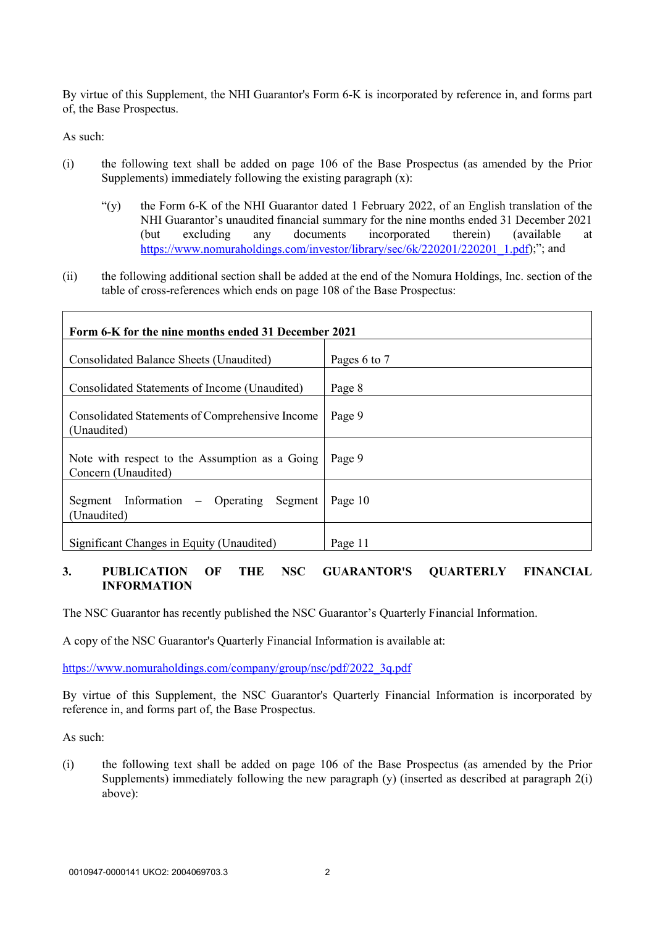By virtue of this Supplement, the NHI Guarantor's Form 6-K is incorporated by reference in, and forms part of, the Base Prospectus.

As such:

- (i) the following text shall be added on page 106 of the Base Prospectus (as amended by the Prior Supplements) immediately following the existing paragraph (x):
	- "(y) the Form 6-K of the NHI Guarantor dated 1 February 2022, of an English translation of the NHI Guarantor's unaudited financial summary for the nine months ended 31 December 2021 (but excluding any documents incorporated therein) (available at [https://www.nomuraholdings.com/investor/library/sec/6k/220201/220201\\_1.pdf\)](https://www.nomuraholdings.com/investor/library/sec/6k/220201/220201_1.pdf);"; and
- (ii) the following additional section shall be added at the end of the Nomura Holdings, Inc. section of the table of cross-references which ends on page 108 of the Base Prospectus:

| Form 6-K for the nine months ended 31 December 2021                   |              |
|-----------------------------------------------------------------------|--------------|
| Consolidated Balance Sheets (Unaudited)                               | Pages 6 to 7 |
| Consolidated Statements of Income (Unaudited)                         | Page 8       |
| Consolidated Statements of Comprehensive Income<br>(Unaudited)        | Page 9       |
| Note with respect to the Assumption as a Going<br>Concern (Unaudited) | Page 9       |
| Segment Information – Operating Segment<br>(Unaudited)                | Page 10      |
| Significant Changes in Equity (Unaudited)                             | Page 11      |

### **3. PUBLICATION OF THE NSC GUARANTOR'S QUARTERLY FINANCIAL INFORMATION**

The NSC Guarantor has recently published the NSC Guarantor's Quarterly Financial Information.

A copy of the NSC Guarantor's Quarterly Financial Information is available at:

[https://www.nomuraholdings.com/company/group/nsc/pdf/2022\\_3q.pdf](https://www.nomuraholdings.com/company/group/nsc/pdf/2022_3q.pdf)

By virtue of this Supplement, the NSC Guarantor's Quarterly Financial Information is incorporated by reference in, and forms part of, the Base Prospectus.

As such:

(i) the following text shall be added on page 106 of the Base Prospectus (as amended by the Prior Supplements) immediately following the new paragraph (y) (inserted as described at paragraph 2(i) above):